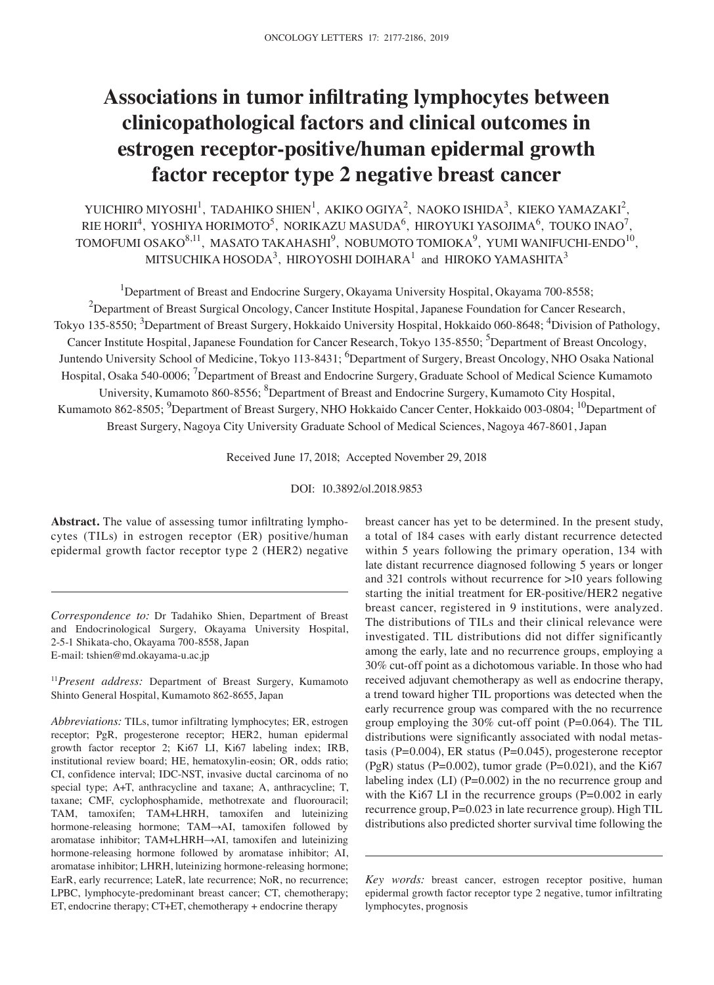# **Associations in tumor infiltrating lymphocytes between clinicopathological factors and clinical outcomes in estrogen receptor‑positive/human epidermal growth factor receptor type 2 negative breast cancer**

YUICHIRO MIYOSHI<sup>1</sup>, TADAHIKO SHIEN<sup>1</sup>, AKIKO OGIYA<sup>2</sup>, NAOKO ISHIDA<sup>3</sup>, KIEKO YAMAZAKI<sup>2</sup>, RIE HORII $^4$ , YOSHIYA HORIMOTO $^5$ , NORIKAZU MASUDA $^6$ , HIROYUKI YASOJIMA $^6$ , TOUKO INAO $^7$ , TOMOFUMI OSAKO $^{8,11}$ , MASATO TAKAHASHI $^9$ , NOBUMOTO TOMIOKA $^9$ , YUMI WANIFUCHI-ENDO $^{10}$ , MITSUCHIKA HOSODA $^3$ , HIROYOSHI DOIHARA $^1$  and HIROKO YAMASHITA $^3$ 

<sup>1</sup>Department of Breast and Endocrine Surgery, Okayama University Hospital, Okayama 700-8558;

 $^2$ Department of Breast Surgical Oncology, Cancer Institute Hospital, Japanese Foundation for Cancer Research, Tokyo 135-8550; <sup>3</sup>Department of Breast Surgery, Hokkaido University Hospital, Hokkaido 060-8648; <sup>4</sup>Division of Pathology, Cancer Institute Hospital, Japanese Foundation for Cancer Research, Tokyo 135-8550; <sup>5</sup>Department of Breast Oncology, Juntendo University School of Medicine, Tokyo 113-8431; <sup>6</sup>Department of Surgery, Breast Oncology, NHO Osaka National Hospital, Osaka 540-0006; <sup>7</sup>Department of Breast and Endocrine Surgery, Graduate School of Medical Science Kumamoto University, Kumamoto 860-8556; <sup>8</sup>Department of Breast and Endocrine Surgery, Kumamoto City Hospital, Kumamoto 862-8505; <sup>9</sup>Department of Breast Surgery, NHO Hokkaido Cancer Center, Hokkaido 003-0804; <sup>10</sup>Department of Breast Surgery, Nagoya City University Graduate School of Medical Sciences, Nagoya 467‑8601, Japan

Received June 17, 2018; Accepted November 29, 2018

DOI: 10.3892/ol.2018.9853

**Abstract.** The value of assessing tumor infiltrating lymphocytes (TILs) in estrogen receptor (ER) positive/human epidermal growth factor receptor type 2 (HER2) negative

*Correspondence to:* Dr Tadahiko Shien, Department of Breast and Endocrinological Surgery, Okayama University Hospital, 2‑5‑1 Shikata‑cho, Okayama 700‑8558, Japan E‑mail: tshien@md.okayama‑u.ac.jp

<sup>11</sup>*Present address:* Department of Breast Surgery, Kumamoto Shinto General Hospital, Kumamoto 862‑8655, Japan

*Abbreviations:* TILs, tumor infiltrating lymphocytes; ER, estrogen receptor; PgR, progesterone receptor; HER2, human epidermal growth factor receptor 2; Ki67 LI, Ki67 labeling index; IRB, institutional review board; HE, hematoxylin-eosin; OR, odds ratio; CI, confidence interval; IDC‑NST, invasive ductal carcinoma of no special type; A+T, anthracycline and taxane; A, anthracycline; T, taxane; CMF, cyclophosphamide, methotrexate and fluorouracil; TAM, tamoxifen; TAM+LHRH, tamoxifen and luteinizing hormone‑releasing hormone; TAM→AI, tamoxifen followed by aromatase inhibitor; TAM+LHRH→AI, tamoxifen and luteinizing hormone-releasing hormone followed by aromatase inhibitor; AI, aromatase inhibitor; LHRH, luteinizing hormone‑releasing hormone; EarR, early recurrence; LateR, late recurrence; NoR, no recurrence; LPBC, lymphocyte-predominant breast cancer; CT, chemotherapy; ET, endocrine therapy; CT+ET, chemotherapy + endocrine therapy

breast cancer has yet to be determined. In the present study, a total of 184 cases with early distant recurrence detected within 5 years following the primary operation, 134 with late distant recurrence diagnosed following 5 years or longer and 321 controls without recurrence for >10 years following starting the initial treatment for ER‑positive/HER2 negative breast cancer, registered in 9 institutions, were analyzed. The distributions of TILs and their clinical relevance were investigated. TIL distributions did not differ significantly among the early, late and no recurrence groups, employing a 30% cut‑off point as a dichotomous variable. In those who had received adjuvant chemotherapy as well as endocrine therapy, a trend toward higher TIL proportions was detected when the early recurrence group was compared with the no recurrence group employing the  $30\%$  cut-off point (P=0.064). The TIL distributions were significantly associated with nodal metastasis (P=0.004), ER status (P=0.045), progesterone receptor (PgR) status (P=0.002), tumor grade (P=0.021), and the Ki67 labeling index  $(LI)$  (P=0.002) in the no recurrence group and with the Ki67 LI in the recurrence groups (P=0.002 in early recurrence group, P=0.023 in late recurrence group). High TIL distributions also predicted shorter survival time following the

*Key words:* breast cancer, estrogen receptor positive, human epidermal growth factor receptor type 2 negative, tumor infiltrating lymphocytes, prognosis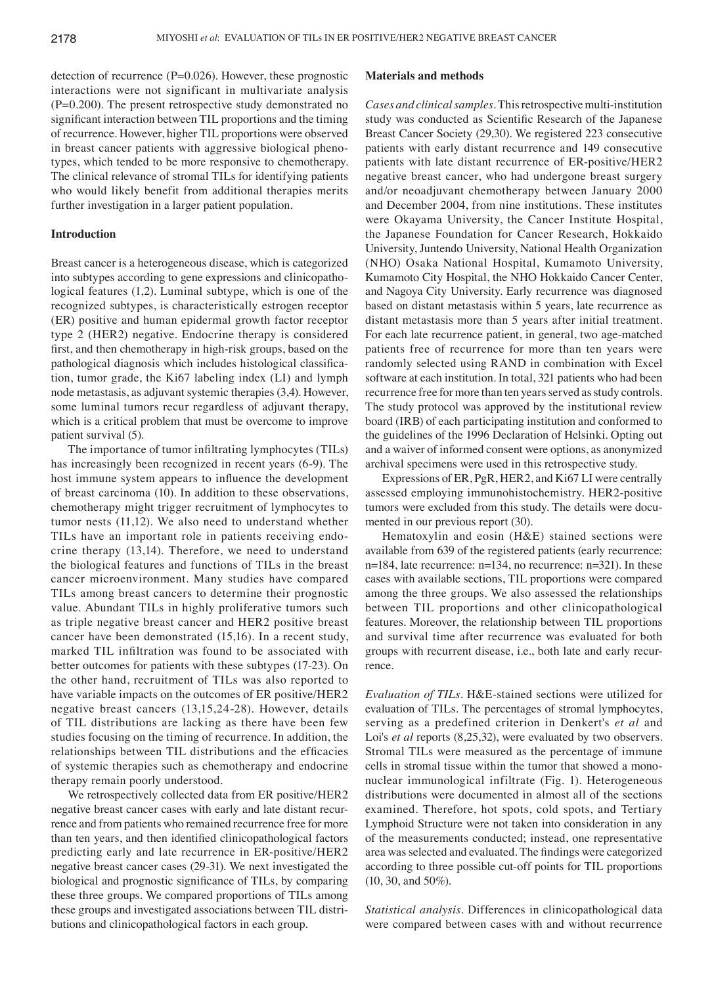detection of recurrence (P=0.026). However, these prognostic interactions were not significant in multivariate analysis  $(P=0.200)$ . The present retrospective study demonstrated no significant interaction between TIL proportions and the timing of recurrence. However, higher TIL proportions were observed in breast cancer patients with aggressive biological phenotypes, which tended to be more responsive to chemotherapy. The clinical relevance of stromal TILs for identifying patients who would likely benefit from additional therapies merits further investigation in a larger patient population.

# **Introduction**

Breast cancer is a heterogeneous disease, which is categorized into subtypes according to gene expressions and clinicopathological features (1,2). Luminal subtype, which is one of the recognized subtypes, is characteristically estrogen receptor (ER) positive and human epidermal growth factor receptor type 2 (HER2) negative. Endocrine therapy is considered first, and then chemotherapy in high-risk groups, based on the pathological diagnosis which includes histological classification, tumor grade, the Ki67 labeling index (LI) and lymph node metastasis, as adjuvant systemic therapies (3,4). However, some luminal tumors recur regardless of adjuvant therapy, which is a critical problem that must be overcome to improve patient survival (5).

The importance of tumor infiltrating lymphocytes (TILs) has increasingly been recognized in recent years (6-9). The host immune system appears to influence the development of breast carcinoma (10). In addition to these observations, chemotherapy might trigger recruitment of lymphocytes to tumor nests (11,12). We also need to understand whether TILs have an important role in patients receiving endocrine therapy (13,14). Therefore, we need to understand the biological features and functions of TILs in the breast cancer microenvironment. Many studies have compared TILs among breast cancers to determine their prognostic value. Abundant TILs in highly proliferative tumors such as triple negative breast cancer and HER2 positive breast cancer have been demonstrated (15,16). In a recent study, marked TIL infiltration was found to be associated with better outcomes for patients with these subtypes (17-23). On the other hand, recruitment of TILs was also reported to have variable impacts on the outcomes of ER positive/HER2 negative breast cancers (13,15,24-28). However, details of TIL distributions are lacking as there have been few studies focusing on the timing of recurrence. In addition, the relationships between TIL distributions and the efficacies of systemic therapies such as chemotherapy and endocrine therapy remain poorly understood.

We retrospectively collected data from ER positive/HER2 negative breast cancer cases with early and late distant recurrence and from patients who remained recurrence free for more than ten years, and then identified clinicopathological factors predicting early and late recurrence in ER‑positive/HER2 negative breast cancer cases (29-31). We next investigated the biological and prognostic significance of TILs, by comparing these three groups. We compared proportions of TILs among these groups and investigated associations between TIL distributions and clinicopathological factors in each group.

### **Materials and methods**

*Cases and clinical samples.* This retrospective multi‑institution study was conducted as Scientific Research of the Japanese Breast Cancer Society (29,30). We registered 223 consecutive patients with early distant recurrence and 149 consecutive patients with late distant recurrence of ER‑positive/HER2 negative breast cancer, who had undergone breast surgery and/or neoadjuvant chemotherapy between January 2000 and December 2004, from nine institutions. These institutes were Okayama University, the Cancer Institute Hospital, the Japanese Foundation for Cancer Research, Hokkaido University, Juntendo University, National Health Organization (NHO) Osaka National Hospital, Kumamoto University, Kumamoto City Hospital, the NHO Hokkaido Cancer Center, and Nagoya City University. Early recurrence was diagnosed based on distant metastasis within 5 years, late recurrence as distant metastasis more than 5 years after initial treatment. For each late recurrence patient, in general, two age-matched patients free of recurrence for more than ten years were randomly selected using RAND in combination with Excel software at each institution. In total, 321 patients who had been recurrence free for more than ten years served as study controls. The study protocol was approved by the institutional review board (IRB) of each participating institution and conformed to the guidelines of the 1996 Declaration of Helsinki. Opting out and a waiver of informed consent were options, as anonymized archival specimens were used in this retrospective study.

Expressions of ER, PgR, HER2, and Ki67 LI were centrally assessed employing immunohistochemistry. HER2‑positive tumors were excluded from this study. The details were documented in our previous report (30).

Hematoxylin and eosin (H&E) stained sections were available from 639 of the registered patients (early recurrence: n=184, late recurrence: n=134, no recurrence: n=321). In these cases with available sections, TIL proportions were compared among the three groups. We also assessed the relationships between TIL proportions and other clinicopathological features. Moreover, the relationship between TIL proportions and survival time after recurrence was evaluated for both groups with recurrent disease, i.e., both late and early recurrence.

*Evaluation of TILs.* H&E‑stained sections were utilized for evaluation of TILs. The percentages of stromal lymphocytes, serving as a predefined criterion in Denkert's *et al* and Loi's *et al* reports (8,25,32), were evaluated by two observers. Stromal TILs were measured as the percentage of immune cells in stromal tissue within the tumor that showed a mononuclear immunological infiltrate (Fig. 1). Heterogeneous distributions were documented in almost all of the sections examined. Therefore, hot spots, cold spots, and Tertiary Lymphoid Structure were not taken into consideration in any of the measurements conducted; instead, one representative area was selected and evaluated. The findings were categorized according to three possible cut‑off points for TIL proportions (10, 30, and 50%).

*Statistical analysis.* Differences in clinicopathological data were compared between cases with and without recurrence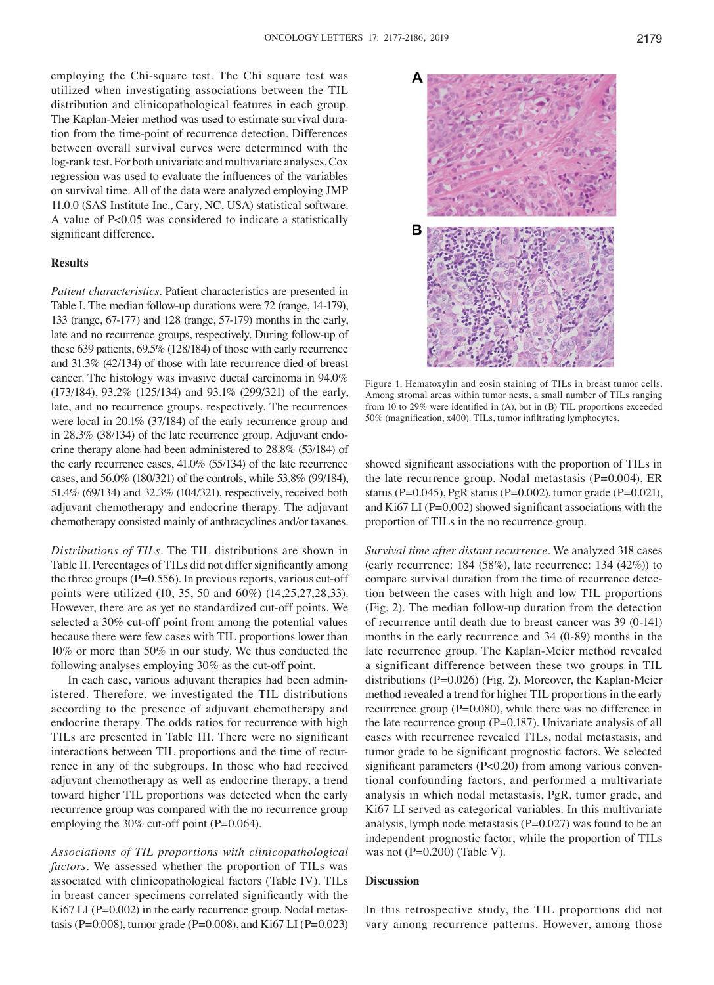Δ

в

employing the Chi‑square test. The Chi square test was utilized when investigating associations between the TIL distribution and clinicopathological features in each group. The Kaplan-Meier method was used to estimate survival duration from the time‑point of recurrence detection. Differences between overall survival curves were determined with the log-rank test. For both univariate and multivariate analyses, Cox regression was used to evaluate the influences of the variables on survival time. All of the data were analyzed employing JMP 11.0.0 (SAS Institute Inc., Cary, NC, USA) statistical software. A value of P<0.05 was considered to indicate a statistically significant difference.

## **Results**

*Patient characteristics.* Patient characteristics are presented in Table I. The median follow-up durations were 72 (range, 14-179), 133 (range, 67‑177) and 128 (range, 57‑179) months in the early, late and no recurrence groups, respectively. During follow-up of these 639 patients, 69.5% (128/184) of those with early recurrence and 31.3% (42/134) of those with late recurrence died of breast cancer. The histology was invasive ductal carcinoma in 94.0% (173/184), 93.2% (125/134) and 93.1% (299/321) of the early, late, and no recurrence groups, respectively. The recurrences were local in 20.1% (37/184) of the early recurrence group and in 28.3% (38/134) of the late recurrence group. Adjuvant endocrine therapy alone had been administered to 28.8% (53/184) of the early recurrence cases, 41.0% (55/134) of the late recurrence cases, and 56.0% (180/321) of the controls, while 53.8% (99/184), 51.4% (69/134) and 32.3% (104/321), respectively, received both adjuvant chemotherapy and endocrine therapy. The adjuvant chemotherapy consisted mainly of anthracyclines and/or taxanes.

*Distributions of TILs.* The TIL distributions are shown in Table II. Percentages of TILs did not differ significantly among the three groups ( $P=0.556$ ). In previous reports, various cut-off points were utilized (10, 35, 50 and 60%) (14,25,27,28,33). However, there are as yet no standardized cut‑off points. We selected a 30% cut-off point from among the potential values because there were few cases with TIL proportions lower than 10% or more than 50% in our study. We thus conducted the following analyses employing 30% as the cut-off point.

In each case, various adjuvant therapies had been administered. Therefore, we investigated the TIL distributions according to the presence of adjuvant chemotherapy and endocrine therapy. The odds ratios for recurrence with high TILs are presented in Table III. There were no significant interactions between TIL proportions and the time of recurrence in any of the subgroups. In those who had received adjuvant chemotherapy as well as endocrine therapy, a trend toward higher TIL proportions was detected when the early recurrence group was compared with the no recurrence group employing the 30% cut-off point (P=0.064).

*Associations of TIL proportions with clinicopathological factors.* We assessed whether the proportion of TILs was associated with clinicopathological factors (Table IV). TILs in breast cancer specimens correlated significantly with the Ki67 LI (P=0.002) in the early recurrence group. Nodal metastasis (P=0.008), tumor grade (P=0.008), and Ki67 LI (P=0.023)



Among stromal areas within tumor nests, a small number of TILs ranging from 10 to 29% were identified in (A), but in (B) TIL proportions exceeded 50% (magnification, x400). TILs, tumor infiltrating lymphocytes.

showed significant associations with the proportion of TILs in the late recurrence group. Nodal metastasis  $(P=0.004)$ , ER status (P=0.045), PgR status (P=0.002), tumor grade (P=0.021), and Ki67 LI ( $P=0.002$ ) showed significant associations with the proportion of TILs in the no recurrence group.

*Survival time after distant recurrence.* We analyzed 318 cases (early recurrence: 184 (58%), late recurrence: 134 (42%)) to compare survival duration from the time of recurrence detection between the cases with high and low TIL proportions (Fig. 2). The median follow‑up duration from the detection of recurrence until death due to breast cancer was 39 (0‑141) months in the early recurrence and 34 (0‑89) months in the late recurrence group. The Kaplan-Meier method revealed a significant difference between these two groups in TIL distributions (P=0.026) (Fig. 2). Moreover, the Kaplan-Meier method revealed a trend for higher TIL proportions in the early recurrence group (P=0.080), while there was no difference in the late recurrence group (P=0.187). Univariate analysis of all cases with recurrence revealed TILs, nodal metastasis, and tumor grade to be significant prognostic factors. We selected significant parameters (P<0.20) from among various conventional confounding factors, and performed a multivariate analysis in which nodal metastasis, PgR, tumor grade, and Ki67 LI served as categorical variables. In this multivariate analysis, lymph node metastasis  $(P=0.027)$  was found to be an independent prognostic factor, while the proportion of TILs was not  $(P=0.200)$  (Table V).

## **Discussion**

In this retrospective study, the TIL proportions did not vary among recurrence patterns. However, among those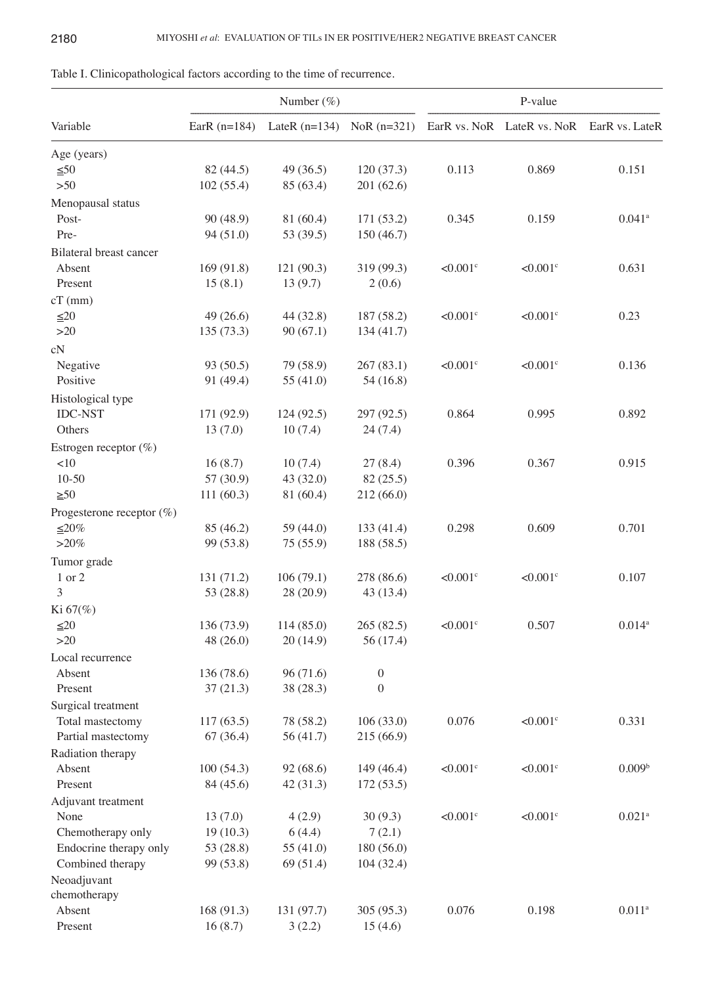|                                            |                        | Number $(\%)$                 |                          | P-value                |                            |                       |  |
|--------------------------------------------|------------------------|-------------------------------|--------------------------|------------------------|----------------------------|-----------------------|--|
| Variable                                   | EarR $(n=184)$         | LateR $(n=134)$ NoR $(n=321)$ |                          |                        | EarR vs. NoR LateR vs. NoR | EarR vs. LateR        |  |
| Age (years)                                |                        |                               |                          |                        |                            |                       |  |
| $\leq 50$                                  | 82 (44.5)              | 49(36.5)                      | 120(37.3)                | 0.113                  | 0.869                      | 0.151                 |  |
| $>50$                                      | 102(55.4)              | 85 (63.4)                     | 201 (62.6)               |                        |                            |                       |  |
| Menopausal status                          |                        |                               |                          |                        |                            |                       |  |
| Post-                                      | 90 (48.9)              | 81 (60.4)                     | 171 (53.2)               | 0.345                  | 0.159                      | $0.041$ <sup>a</sup>  |  |
| Pre-                                       | 94 (51.0)              | 53 (39.5)                     | 150(46.7)                |                        |                            |                       |  |
| <b>Bilateral breast cancer</b>             |                        |                               |                          |                        |                            |                       |  |
| Absent                                     | 169 (91.8)             | 121(90.3)                     | 319 (99.3)               | $< 0.001$ c            | $< 0.001$ <sup>c</sup>     | 0.631                 |  |
| Present                                    | 15(8.1)                | 13(9.7)                       | 2(0.6)                   |                        |                            |                       |  |
| $cT$ (mm)                                  |                        |                               |                          |                        |                            |                       |  |
| $\leq 20$                                  | 49(26.6)               | 44 (32.8)                     | 187 (58.2)               | $< 0.001$ c            | $<0.001$ c                 | 0.23                  |  |
| $>20$                                      | 135(73.3)              | 90(67.1)                      | 134(41.7)                |                        |                            |                       |  |
| cN                                         |                        |                               |                          |                        |                            |                       |  |
| Negative                                   | 93 (50.5)              | 79 (58.9)                     | 267(83.1)                | $< 0.001$ c            | $< 0.001$ <sup>c</sup>     | 0.136                 |  |
| Positive                                   | 91 (49.4)              | 55 (41.0)                     | 54(16.8)                 |                        |                            |                       |  |
| Histological type                          |                        |                               |                          |                        |                            |                       |  |
| <b>IDC-NST</b>                             | 171 (92.9)             | 124(92.5)                     | 297 (92.5)               | 0.864                  | 0.995                      | 0.892                 |  |
| Others                                     | 13(7.0)                | 10(7.4)                       | 24(7.4)                  |                        |                            |                       |  |
|                                            |                        |                               |                          |                        |                            |                       |  |
| Estrogen receptor $(\%)$<br><10            | 16(8.7)                | 10(7.4)                       | 27(8.4)                  | 0.396                  | 0.367                      | 0.915                 |  |
| $10 - 50$                                  | 57 (30.9)              | 43 (32.0)                     | 82(25.5)                 |                        |                            |                       |  |
| $\geq 50$                                  | 111(60.3)              | 81 (60.4)                     | 212 (66.0)               |                        |                            |                       |  |
|                                            |                        |                               |                          |                        |                            |                       |  |
| Progesterone receptor $(\%)$               |                        |                               |                          |                        | 0.609                      |                       |  |
| $≤20%$<br>${>}20\%$                        | 85 (46.2)<br>99 (53.8) | 59 (44.0)<br>75(55.9)         | 133 (41.4)<br>188 (58.5) | 0.298                  |                            | 0.701                 |  |
|                                            |                        |                               |                          |                        |                            |                       |  |
| Tumor grade                                |                        |                               |                          |                        |                            |                       |  |
| 1 or 2                                     | 131 (71.2)             | 106(79.1)                     | 278 (86.6)               | $< 0.001$ <sup>c</sup> | $< 0.001$ <sup>c</sup>     | 0.107                 |  |
| 3                                          | 53 (28.8)              | 28 (20.9)                     | 43 (13.4)                |                        |                            |                       |  |
| $Ki 67(\%)$                                |                        |                               |                          |                        |                            |                       |  |
| $\leq 20$                                  | 136 (73.9)             | 114(85.0)                     | 265 (82.5)               | $< 0.001$ <sup>c</sup> | 0.507                      | $0.014^{a}$           |  |
| $>20$                                      | 48(26.0)               | 20(14.9)                      | 56 (17.4)                |                        |                            |                       |  |
| Local recurrence                           |                        |                               |                          |                        |                            |                       |  |
| Absent                                     | 136 (78.6)             | 96 (71.6)                     | $\boldsymbol{0}$         |                        |                            |                       |  |
| Present                                    | 37(21.3)               | 38 (28.3)                     | $\boldsymbol{0}$         |                        |                            |                       |  |
| Surgical treatment                         |                        |                               |                          |                        |                            |                       |  |
| Total mastectomy                           | 117(63.5)              | 78 (58.2)                     | 106(33.0)                | 0.076                  | $< 0.001$ <sup>c</sup>     | 0.331                 |  |
| Partial mastectomy                         | 67 (36.4)              | 56 (41.7)                     | 215 (66.9)               |                        |                            |                       |  |
| Radiation therapy                          |                        |                               |                          |                        |                            |                       |  |
| Absent<br>Present                          | 100(54.3)              | 92 (68.6)                     | 149 (46.4)               | $< 0.001$ <sup>c</sup> | $<0.001$ c                 | 0.009 <sup>b</sup>    |  |
|                                            | 84 (45.6)              | 42(31.3)                      | 172(53.5)                |                        |                            |                       |  |
| Adjuvant treatment                         |                        |                               |                          |                        |                            |                       |  |
| None                                       | 13(7.0)                | 4(2.9)                        | 30(9.3)                  | $< 0.001$ c            | $< 0.001$ c                | $0.021$ <sup>a</sup>  |  |
| Chemotherapy only                          | 19(10.3)               | 6(4.4)                        | 7(2.1)                   |                        |                            |                       |  |
| Endocrine therapy only<br>Combined therapy | 53 (28.8)<br>99 (53.8) | 55 (41.0)<br>69(51.4)         | 180 (56.0)<br>104(32.4)  |                        |                            |                       |  |
|                                            |                        |                               |                          |                        |                            |                       |  |
| Neoadjuvant<br>chemotherapy                |                        |                               |                          |                        |                            |                       |  |
| Absent                                     | 168 (91.3)             | 131 (97.7)                    | 305 (95.3)               | 0.076                  | 0.198                      | $0.011$ $\mathrm{^a}$ |  |
| Present                                    | 16(8.7)                | 3(2.2)                        | 15(4.6)                  |                        |                            |                       |  |

| Table I. Clinicopathological factors according to the time of recurrence. |
|---------------------------------------------------------------------------|
|---------------------------------------------------------------------------|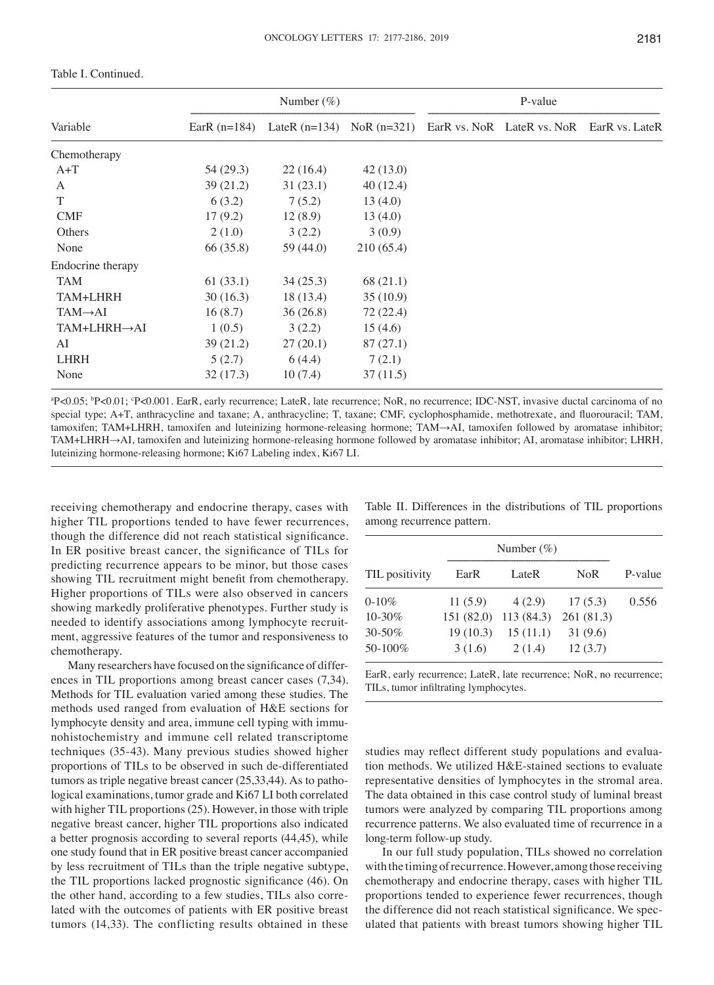|                      |                | Number $(\%)$ |           | P-value |                                                                         |  |  |
|----------------------|----------------|---------------|-----------|---------|-------------------------------------------------------------------------|--|--|
| Variable             | EarR $(n=184)$ |               |           |         | LateR $(n=134)$ NoR $(n=321)$ EarR vs. NoR LateR vs. NoR EarR vs. LateR |  |  |
| Chemotherapy         |                |               |           |         |                                                                         |  |  |
| $A+T$                | 54 (29.3)      | 22(16.4)      | 42(13.0)  |         |                                                                         |  |  |
| A                    | 39(21.2)       | 31(23.1)      | 40 (12.4) |         |                                                                         |  |  |
| T                    | 6(3.2)         | 7(5.2)        | 13(4.0)   |         |                                                                         |  |  |
| <b>CMF</b>           | 17(9.2)        | 12(8.9)       | 13(4.0)   |         |                                                                         |  |  |
| Others               | 2(1.0)         | 3(2.2)        | 3(0.9)    |         |                                                                         |  |  |
| None                 | 66 (35.8)      | 59 (44.0)     | 210(65.4) |         |                                                                         |  |  |
| Endocrine therapy    |                |               |           |         |                                                                         |  |  |
| <b>TAM</b>           | 61(33.1)       | 34(25.3)      | 68 (21.1) |         |                                                                         |  |  |
| TAM+LHRH             | 30(16.3)       | 18 (13.4)     | 35(10.9)  |         |                                                                         |  |  |
| $TAM \rightarrow AI$ | 16(8.7)        | 36(26.8)      | 72 (22.4) |         |                                                                         |  |  |
| TAM+LHRH→AI          | 1(0.5)         | 3(2.2)        | 15(4.6)   |         |                                                                         |  |  |
| AI                   | 39(21.2)       | 27(20.1)      | 87(27.1)  |         |                                                                         |  |  |
| <b>LHRH</b>          | 5(2.7)         | 6(4.4)        | 7(2.1)    |         |                                                                         |  |  |
| None                 | 32(17.3)       | 10(7.4)       | 37(11.5)  |         |                                                                         |  |  |

## Table I. Continued.

<sup>a</sup>P<0.05; <sup>b</sup>P<0.01; <sup>c</sup>P<0.001. EarR, early recurrence; LateR, late recurrence; NoR, no recurrence; IDC-NST, invasive ductal carcinoma of no special type; A+T, anthracycline and taxane; A, anthracycline; T, taxane; CMF, cyclophosphamide, methotrexate, and fluorouracil; TAM, tamoxifen; TAM+LHRH, tamoxifen and luteinizing hormone‑releasing hormone; TAM→AI, tamoxifen followed by aromatase inhibitor; TAM+LHRH→AI, tamoxifen and luteinizing hormone‑releasing hormone followed by aromatase inhibitor; AI, aromatase inhibitor; LHRH, luteinizing hormone‑releasing hormone; Ki67 Labeling index, Ki67 LI.

receiving chemotherapy and endocrine therapy, cases with higher TIL proportions tended to have fewer recurrences, though the difference did not reach statistical significance. In ER positive breast cancer, the significance of TILs for predicting recurrence appears to be minor, but those cases showing TIL recruitment might benefit from chemotherapy. Higher proportions of TILs were also observed in cancers showing markedly proliferative phenotypes. Further study is needed to identify associations among lymphocyte recruitment, aggressive features of the tumor and responsiveness to chemotherapy.

Many researchers have focused on the significance of differences in TIL proportions among breast cancer cases (7,34). Methods for TIL evaluation varied among these studies. The methods used ranged from evaluation of H&E sections for lymphocyte density and area, immune cell typing with immunohistochemistry and immune cell related transcriptome techniques (35-43). Many previous studies showed higher proportions of TILs to be observed in such de‑differentiated tumors as triple negative breast cancer (25,33,44). As to pathological examinations, tumor grade and Ki67 LI both correlated with higher TIL proportions (25). However, in those with triple negative breast cancer, higher TIL proportions also indicated a better prognosis according to several reports (44,45), while one study found that in ER positive breast cancer accompanied by less recruitment of TILs than the triple negative subtype, the TIL proportions lacked prognostic significance (46). On the other hand, according to a few studies, TILs also correlated with the outcomes of patients with ER positive breast tumors (14,33). The conflicting results obtained in these Table II. Differences in the distributions of TIL proportions among recurrence pattern.

|                | Number $(\%)$ |           |            |         |
|----------------|---------------|-----------|------------|---------|
| TIL positivity | EarR          | LateR     | <b>NoR</b> | P-value |
| $0 - 10\%$     | 11(5.9)       | 4 (2.9)   | 17(5.3)    | 0.556   |
| 10-30%         | 151(82.0)     | 113(84.3) | 261(81.3)  |         |
| 30-50%         | 19(10.3)      | 15(11.1)  | 31(9.6)    |         |
| 50-100%        | 3(1.6)        | 2(1.4)    | 12(3.7)    |         |

EarR, early recurrence; LateR, late recurrence; NoR, no recurrence; TILs, tumor infiltrating lymphocytes.

studies may reflect different study populations and evaluation methods. We utilized H&E‑stained sections to evaluate representative densities of lymphocytes in the stromal area. The data obtained in this case control study of luminal breast tumors were analyzed by comparing TIL proportions among recurrence patterns. We also evaluated time of recurrence in a long‑term follow‑up study.

In our full study population, TILs showed no correlation with the timing of recurrence. However, among those receiving chemotherapy and endocrine therapy, cases with higher TIL proportions tended to experience fewer recurrences, though the difference did not reach statistical significance. We speculated that patients with breast tumors showing higher TIL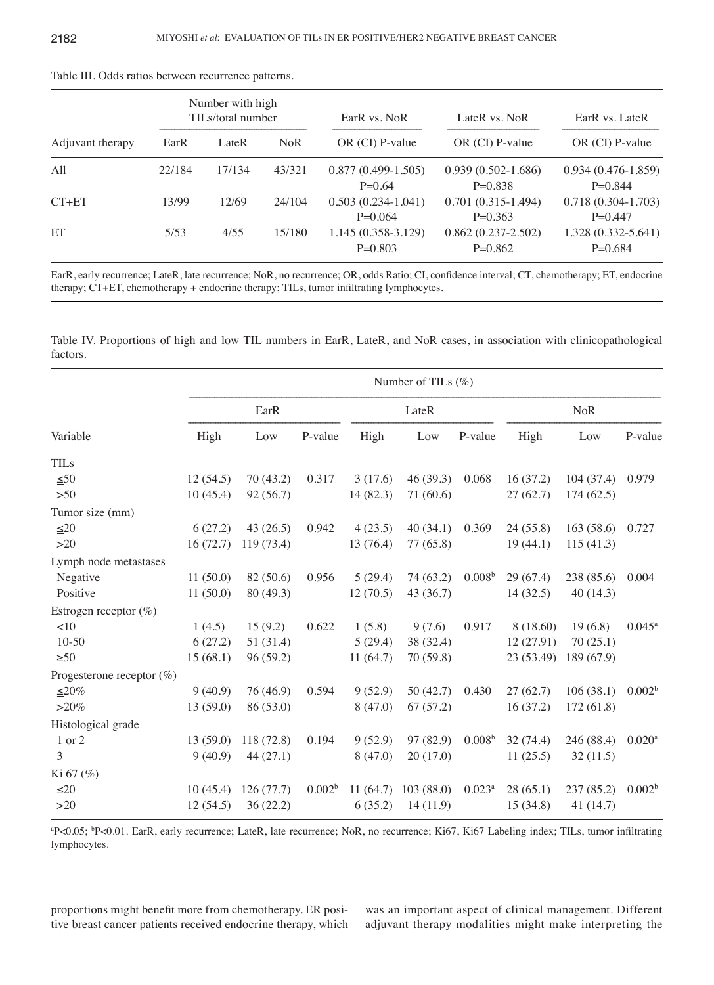| Number with high<br>TILs/total number |        |        | EarR vs. NoR | LateR vs. NoR                     | EarR vs. LateR                      |                                     |
|---------------------------------------|--------|--------|--------------|-----------------------------------|-------------------------------------|-------------------------------------|
| Adjuvant therapy                      | EarR   | LateR  | NoR.         | $OR$ (CI) P-value                 | $OR$ (CI) P-value                   | $OR$ (CI) P-value                   |
| All                                   | 22/184 | 17/134 | 43/321       | $0.877(0.499-1.505)$<br>$P=0.64$  | $0.939(0.502 - 1.686)$<br>$P=0.838$ | $0.934(0.476-1.859)$<br>$P=0.844$   |
| $CT+ET$                               | 13/99  | 12/69  | 24/104       | $0.503(0.234-1.041)$<br>$P=0.064$ | $0.701(0.315-1.494)$<br>$P=0.363$   | $0.718(0.304 - 1.703)$<br>$P=0.447$ |
| ET                                    | 5/53   | 4/55   | 15/180       | $1.145(0.358-3.129)$<br>$P=0.803$ | $0.862(0.237 - 2.502)$<br>$P=0.862$ | 1.328 (0.332-5.641)<br>$P=0.684$    |

Table III. Odds ratios between recurrence patterns.

EarR, early recurrence; LateR, late recurrence; NoR, no recurrence; OR, odds Ratio; CI, confidence interval; CT, chemotherapy; ET, endocrine therapy; CT+ET, chemotherapy + endocrine therapy; TILs, tumor infiltrating lymphocytes.

Table IV. Proportions of high and low TIL numbers in EarR, LateR, and NoR cases, in association with clinicopathological factors.

|                              |          |            |                    |           | Number of TILs $(\%)$ |                    |            |            |                      |
|------------------------------|----------|------------|--------------------|-----------|-----------------------|--------------------|------------|------------|----------------------|
|                              | EarR     |            |                    | LateR     |                       |                    | <b>NoR</b> |            |                      |
| Variable                     | High     | Low        | P-value            | High      | Low                   | P-value            | High       | Low        | P-value              |
| <b>TILs</b>                  |          |            |                    |           |                       |                    |            |            |                      |
| $\leq 50$                    | 12(54.5) | 70(43.2)   | 0.317              | 3(17.6)   | 46(39.3)              | 0.068              | 16(37.2)   | 104(37.4)  | 0.979                |
| $>50$                        | 10(45.4) | 92 (56.7)  |                    | 14 (82.3) | 71 (60.6)             |                    | 27(62.7)   | 174(62.5)  |                      |
| Tumor size (mm)              |          |            |                    |           |                       |                    |            |            |                      |
| $\leq 20$                    | 6(27.2)  | 43(26.5)   | 0.942              | 4(23.5)   | 40(34.1)              | 0.369              | 24(55.8)   | 163(58.6)  | 0.727                |
| $>20$                        | 16(72.7) | 119 (73.4) |                    | 13 (76.4) | 77 (65.8)             |                    | 19(44.1)   | 115(41.3)  |                      |
| Lymph node metastases        |          |            |                    |           |                       |                    |            |            |                      |
| Negative                     | 11(50.0) | 82 (50.6)  | 0.956              | 5(29.4)   | 74 (63.2)             | 0.008 <sup>b</sup> | 29(67.4)   | 238 (85.6) | 0.004                |
| Positive                     | 11(50.0) | 80 (49.3)  |                    | 12(70.5)  | 43 (36.7)             |                    | 14(32.5)   | 40(14.3)   |                      |
| Estrogen receptor $(\%)$     |          |            |                    |           |                       |                    |            |            |                      |
| <10                          | 1(4.5)   | 15(9.2)    | 0.622              | 1(5.8)    | 9(7.6)                | 0.917              | 8 (18.60)  | 19(6.8)    | $0.045^{\rm a}$      |
| $10-50$                      | 6(27.2)  | 51 (31.4)  |                    | 5(29.4)   | 38 (32.4)             |                    | 12 (27.91) | 70(25.1)   |                      |
| $\geq 50$                    | 15(68.1) | 96(59.2)   |                    | 11(64.7)  | 70 (59.8)             |                    | 23 (53.49) | 189(67.9)  |                      |
| Progesterone receptor $(\%)$ |          |            |                    |           |                       |                    |            |            |                      |
| $≤20\%$                      | 9(40.9)  | 76 (46.9)  | 0.594              | 9(52.9)   | 50(42.7)              | 0.430              | 27(62.7)   | 106(38.1)  | 0.002 <sup>b</sup>   |
| $>20\%$                      | 13(59.0) | 86 (53.0)  |                    | 8(47.0)   | 67(57.2)              |                    | 16(37.2)   | 172(61.8)  |                      |
| Histological grade           |          |            |                    |           |                       |                    |            |            |                      |
| 1 or 2                       | 13(59.0) | 118 (72.8) | 0.194              | 9(52.9)   | 97 (82.9)             | 0.008 <sup>b</sup> | 32(74.4)   | 246 (88.4) | $0.020$ <sup>a</sup> |
| 3                            | 9(40.9)  | 44(27.1)   |                    | 8(47.0)   | 20(17.0)              |                    | 11(25.5)   | 32(11.5)   |                      |
| Ki 67 (%)                    |          |            |                    |           |                       |                    |            |            |                      |
| $\leq 20$                    | 10(45.4) | 126(77.7)  | 0.002 <sup>b</sup> | 11(64.7)  | 103(88.0)             | $0.023^{a}$        | 28(65.1)   | 237(85.2)  | 0.002 <sup>b</sup>   |
| $>20$                        | 12(54.5) | 36(22.2)   |                    | 6(35.2)   | 14(11.9)              |                    | 15(34.8)   | 41 (14.7)  |                      |

a P<0.05; <sup>b</sup> P<0.01. EarR, early recurrence; LateR, late recurrence; NoR, no recurrence; Ki67, Ki67 Labeling index; TILs, tumor infiltrating lymphocytes.

proportions might benefit more from chemotherapy. ER positive breast cancer patients received endocrine therapy, which was an important aspect of clinical management. Different adjuvant therapy modalities might make interpreting the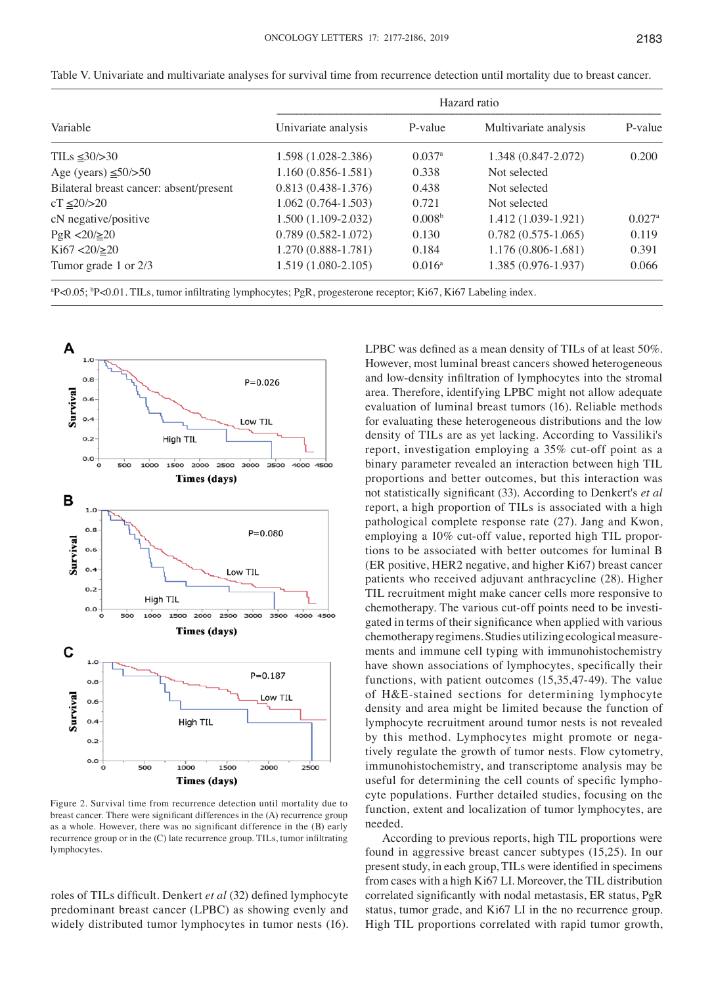|                                         | Hazard ratio           |                      |                        |                      |  |  |  |  |  |
|-----------------------------------------|------------------------|----------------------|------------------------|----------------------|--|--|--|--|--|
| Variable                                | Univariate analysis    | P-value              | Multivariate analysis  | P-value              |  |  |  |  |  |
| TILs $\leq 30/>30$                      | 1.598 (1.028-2.386)    | $0.037$ <sup>a</sup> | 1.348 (0.847-2.072)    | 0.200                |  |  |  |  |  |
| Age (years) $\leq 50$ />50              | $1.160(0.856 - 1.581)$ | 0.338                | Not selected           |                      |  |  |  |  |  |
| Bilateral breast cancer: absent/present | $0.813(0.438-1.376)$   | 0.438                | Not selected           |                      |  |  |  |  |  |
| $cT \le 20/>20$                         | $1.062(0.764-1.503)$   | 0.721                | Not selected           |                      |  |  |  |  |  |
| cN negative/positive                    | $1.500(1.109-2.032)$   | 0.008 <sup>b</sup>   | 1.412 (1.039-1.921)    | $0.027$ <sup>a</sup> |  |  |  |  |  |
| $PgR < 20/ \ge 20$                      | $0.789(0.582 - 1.072)$ | 0.130                | $0.782(0.575-1.065)$   | 0.119                |  |  |  |  |  |
| $Ki67 < 20 / \ge 20$                    | 1.270 (0.888-1.781)    | 0.184                | $1.176(0.806 - 1.681)$ | 0.391                |  |  |  |  |  |
| Tumor grade 1 or 2/3                    | $1.519(1.080-2.105)$   | $0.016^{\rm a}$      | 1.385 (0.976-1.937)    | 0.066                |  |  |  |  |  |

Table V. Univariate and multivariate analyses for survival time from recurrence detection until mortality due to breast cancer.



Figure 2. Survival time from recurrence detection until mortality due to breast cancer. There were significant differences in the (A) recurrence group as a whole. However, there was no significant difference in the (B) early recurrence group or in the (C) late recurrence group. TILs, tumor infiltrating lymphocytes.

roles of TILs difficult. Denkert *et al* (32) defined lymphocyte predominant breast cancer (LPBC) as showing evenly and widely distributed tumor lymphocytes in tumor nests (16). LPBC was defined as a mean density of TILs of at least 50%. However, most luminal breast cancers showed heterogeneous and low‑density infiltration of lymphocytes into the stromal area. Therefore, identifying LPBC might not allow adequate evaluation of luminal breast tumors (16). Reliable methods for evaluating these heterogeneous distributions and the low density of TILs are as yet lacking. According to Vassiliki's report, investigation employing a 35% cut-off point as a binary parameter revealed an interaction between high TIL proportions and better outcomes, but this interaction was not statistically significant (33). According to Denkert's *et al* report, a high proportion of TILs is associated with a high pathological complete response rate (27). Jang and Kwon, employing a 10% cut-off value, reported high TIL proportions to be associated with better outcomes for luminal B (ER positive, HER2 negative, and higher Ki67) breast cancer patients who received adjuvant anthracycline (28). Higher TIL recruitment might make cancer cells more responsive to chemotherapy. The various cut‑off points need to be investigated in terms of their significance when applied with various chemotherapy regimens. Studies utilizing ecological measurements and immune cell typing with immunohistochemistry have shown associations of lymphocytes, specifically their functions, with patient outcomes (15,35,47‑49). The value of H&E‑stained sections for determining lymphocyte density and area might be limited because the function of lymphocyte recruitment around tumor nests is not revealed by this method. Lymphocytes might promote or negatively regulate the growth of tumor nests. Flow cytometry, immunohistochemistry, and transcriptome analysis may be useful for determining the cell counts of specific lymphocyte populations. Further detailed studies, focusing on the function, extent and localization of tumor lymphocytes, are needed.

According to previous reports, high TIL proportions were found in aggressive breast cancer subtypes (15,25). In our present study, in each group, TILs were identified in specimens from cases with a high Ki67 LI. Moreover, the TIL distribution correlated significantly with nodal metastasis, ER status, PgR status, tumor grade, and Ki67 LI in the no recurrence group. High TIL proportions correlated with rapid tumor growth,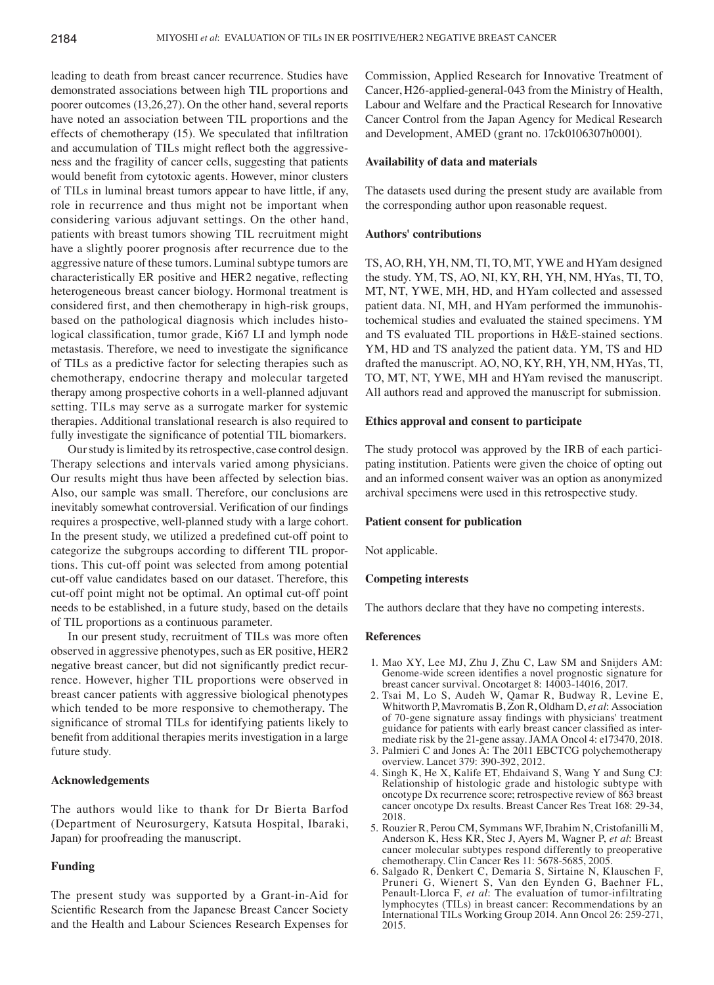leading to death from breast cancer recurrence. Studies have demonstrated associations between high TIL proportions and poorer outcomes (13,26,27). On the other hand, several reports have noted an association between TIL proportions and the effects of chemotherapy (15). We speculated that infiltration and accumulation of TILs might reflect both the aggressiveness and the fragility of cancer cells, suggesting that patients would benefit from cytotoxic agents. However, minor clusters of TILs in luminal breast tumors appear to have little, if any, role in recurrence and thus might not be important when considering various adjuvant settings. On the other hand, patients with breast tumors showing TIL recruitment might have a slightly poorer prognosis after recurrence due to the aggressive nature of these tumors. Luminal subtype tumors are characteristically ER positive and HER2 negative, reflecting heterogeneous breast cancer biology. Hormonal treatment is considered first, and then chemotherapy in high-risk groups, based on the pathological diagnosis which includes histological classification, tumor grade, Ki67 LI and lymph node metastasis. Therefore, we need to investigate the significance of TILs as a predictive factor for selecting therapies such as chemotherapy, endocrine therapy and molecular targeted therapy among prospective cohorts in a well‑planned adjuvant setting. TILs may serve as a surrogate marker for systemic therapies. Additional translational research is also required to fully investigate the significance of potential TIL biomarkers.

Our study is limited by its retrospective, case control design. Therapy selections and intervals varied among physicians. Our results might thus have been affected by selection bias. Also, our sample was small. Therefore, our conclusions are inevitably somewhat controversial. Verification of our findings requires a prospective, well-planned study with a large cohort. In the present study, we utilized a predefined cut‑off point to categorize the subgroups according to different TIL proportions. This cut‑off point was selected from among potential cut‑off value candidates based on our dataset. Therefore, this cut‑off point might not be optimal. An optimal cut‑off point needs to be established, in a future study, based on the details of TIL proportions as a continuous parameter.

In our present study, recruitment of TILs was more often observed in aggressive phenotypes, such as ER positive, HER2 negative breast cancer, but did not significantly predict recurrence. However, higher TIL proportions were observed in breast cancer patients with aggressive biological phenotypes which tended to be more responsive to chemotherapy. The significance of stromal TILs for identifying patients likely to benefit from additional therapies merits investigation in a large future study.

# **Acknowledgements**

The authors would like to thank for Dr Bierta Barfod (Department of Neurosurgery, Katsuta Hospital, Ibaraki, Japan) for proofreading the manuscript.

# **Funding**

The present study was supported by a Grant‑in‑Aid for Scientific Research from the Japanese Breast Cancer Society and the Health and Labour Sciences Research Expenses for Commission, Applied Research for Innovative Treatment of Cancer, H26‑applied‑general‑043 from the Ministry of Health, Labour and Welfare and the Practical Research for Innovative Cancer Control from the Japan Agency for Medical Research and Development, AMED (grant no. 17ck0106307h0001).

### **Availability of data and materials**

The datasets used during the present study are available from the corresponding author upon reasonable request.

## **Authors' contributions**

TS, AO, RH, YH, NM, TI, TO, MT, YWE and HYam designed the study. YM, TS, AO, NI, KY, RH, YH, NM, HYas, TI, TO, MT, NT, YWE, MH, HD, and HYam collected and assessed patient data. NI, MH, and HYam performed the immunohistochemical studies and evaluated the stained specimens. YM and TS evaluated TIL proportions in H&E‑stained sections. YM, HD and TS analyzed the patient data. YM, TS and HD drafted the manuscript. AO, NO, KY, RH, YH, NM, HYas, TI, TO, MT, NT, YWE, MH and HYam revised the manuscript. All authors read and approved the manuscript for submission.

## **Ethics approval and consent to participate**

The study protocol was approved by the IRB of each participating institution. Patients were given the choice of opting out and an informed consent waiver was an option as anonymized archival specimens were used in this retrospective study.

### **Patient consent for publication**

Not applicable.

## **Competing interests**

The authors declare that they have no competing interests.

### **References**

- 1. Mao XY, Lee MJ, Zhu J, Zhu C, Law SM and Snijders AM: Genome‑wide screen identifies a novel prognostic signature for breast cancer survival. Oncotarget 8: 14003‑14016, 2017.
- 2. Tsai M, Lo S, Audeh W, Qamar R, Budway R, Levine E, Whitworth P, Mavromatis B, Zon R, Oldham D, *et al*: Association of 70‑gene signature assay findings with physicians' treatment guidance for patients with early breast cancer classified as intermediate risk by the 21‑gene assay. JAMA Oncol 4: e173470, 2018.
- 3. Palmieri C and Jones A: The 2011 EBCTCG polychemotherapy overview. Lancet 379: 390‑392, 2012.
- 4. Singh K, He X, Kalife ET, Ehdaivand S, Wang Y and Sung CJ: Relationship of histologic grade and histologic subtype with oncotype Dx recurrence score; retrospective review of 863 breast cancer oncotype Dx results. Breast Cancer Res Treat 168: 29‑34, 2018.
- 5. Rouzier R, Perou CM, Symmans WF, Ibrahim N, Cristofanilli M, Anderson K, Hess KR, Stec J, Ayers M, Wagner P, *et al*: Breast cancer molecular subtypes respond differently to preoperative chemotherapy. Clin Cancer Res 11: 5678‑5685, 2005.
- 6. Salgado R, Denkert C, Demaria S, Sirtaine N, Klauschen F, Pruneri G, Wienert S, Van den Eynden G, Baehner FL, Penault-Llorca F, *et al*: The evaluation of tumor-infiltrating lymphocytes (TILs) in breast cancer: Recommendations by an International TILs Working Group 2014. Ann Oncol 26: 259‑271, 2015.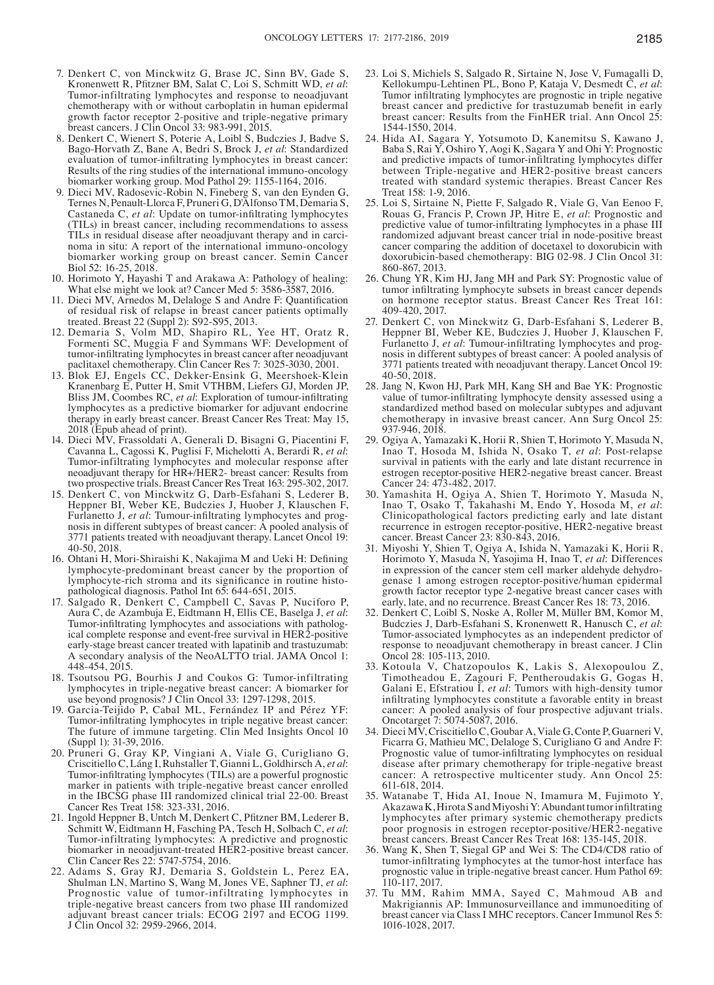- 7. Denkert C, von Minckwitz G, Brase JC, Sinn BV, Gade S, Kronenwett R, Pfitzner BM, Salat C, Loi S, Schmitt WD, *et al*: Tumor‑infiltrating lymphocytes and response to neoadjuvant chemotherapy with or without carboplatin in human epidermal growth factor receptor 2‑positive and triple‑negative primary breast cancers. J Clin Oncol 33: 983‑991, 2015.
- 8. Denkert C, Wienert S, Poterie A, Loibl S, Budczies J, Badve S, Bago‑Horvath Z, Bane A, Bedri S, Brock J, *et al*: Standardized evaluation of tumor-infiltrating lymphocytes in breast cancer: Results of the ring studies of the international immuno‑oncology biomarker working group. Mod Pathol 29: 1155-1164, 2016.
- 9. Dieci MV, Radosevic‑Robin N, Fineberg S, van den Eynden G, Ternes N, Penault‑Llorca F, Pruneri G, D'Alfonso TM, Demaria S, Castaneda C, *et al*: Update on tumor‑infiltrating lymphocytes (TILs) in breast cancer, including recommendations to assess TILs in residual disease after neoadjuvant therapy and in carcinoma in situ: A report of the international immuno‑oncology biomarker working group on breast cancer. Semin Cancer Biol 52: 16‑25, 2018.
- 10. Horimoto Y, Hayashi T and Arakawa A: Pathology of healing: What else might we look at? Cancer Med 5: 3586-3587, 2016.
- 11. Dieci MV, Arnedos M, Delaloge S and Andre F: Quantification of residual risk of relapse in breast cancer patients optimally treated. Breast 22 (Suppl 2): S92‑S95, 2013.
- 12. Demaria S, Volm MD, Shapiro RL, Yee HT, Oratz R, Formenti SC, Muggia F and Symmans WF: Development of tumor‑infiltrating lymphocytes in breast cancer after neoadjuvant paclitaxel chemotherapy. Clin Cancer Res 7: 3025‑3030, 2001.
- 13. Blok EJ, Engels CC, Dekker‑Ensink G, Meershoek‑Klein Kranenbarg E, Putter H, Smit VTHBM, Liefers GJ, Morden JP, Bliss JM, Coombes RC, *et al*: Exploration of tumour‑infiltrating lymphocytes as a predictive biomarker for adjuvant endocrine therapy in early breast cancer. Breast Cancer Res Treat: May 15, 2018 (Epub ahead of print).
- 14. Dieci MV, Frassoldati A, Generali D, Bisagni G, Piacentini F, Cavanna L, Cagossi K, Puglisi F, Michelotti A, Berardi R, *et al*: Tumor‑infiltrating lymphocytes and molecular response after neoadjuvant therapy for HR+/HER2‑ breast cancer: Results from two prospective trials. Breast Cancer Res Treat 163: 295‑302, 2017.
- 15. Denkert C, von Minckwitz G, Darb‑Esfahani S, Lederer B, Heppner BI, Weber KE, Budczies J, Huober J, Klauschen F, Furlanetto J, *et al*: Tumour‑infiltrating lymphocytes and prognosis in different subtypes of breast cancer: A pooled analysis of 3771 patients treated with neoadjuvant therapy. Lancet Oncol 19: 40‑50, 2018.
- 16. Ohtani H, Mori‑Shiraishi K, Nakajima M and Ueki H: Defining lymphocyte‑predominant breast cancer by the proportion of lymphocyte-rich stroma and its significance in routine histopathological diagnosis. Pathol Int 65: 644‑651, 2015.
- 17. Salgado R, Denkert C, Campbell C, Savas P, Nuciforo P, Aura C, de Azambuja E, Eidtmann H, Ellis CE, Baselga J, *et al*: Tumor‑infiltrating lymphocytes and associations with pathological complete response and event‑free survival in HER2‑positive early‑stage breast cancer treated with lapatinib and trastuzumab: A secondary analysis of the NeoALTTO trial. JAMA Oncol 1: 448‑454, 2015.
- 18. Tsoutsou PG, Bourhis J and Coukos G: Tumor‑infiltrating lymphocytes in triple‑negative breast cancer: A biomarker for use beyond prognosis? J Clin Oncol 33: 1297-1298, 2015.
- 19. Garcia‑Teijido P, Cabal ML, Fernández IP and Pérez YF: Tumor-infiltrating lymphocytes in triple negative breast cancer: The future of immune targeting. Clin Med Insights Oncol 10 (Suppl 1): 31‑39, 2016.
- 20. Pruneri G, Gray KP, Vingiani A, Viale G, Curigliano G, Criscitiello C, Láng I, Ruhstaller T, Gianni L, Goldhirsch A, *et al*: Tumor‑infiltrating lymphocytes (TILs) are a powerful prognostic marker in patients with triple-negative breast cancer enrolled in the IBCSG phase III randomized clinical trial 22‑00. Breast Cancer Res Treat 158: 323‑331, 2016.
- 21. Ingold Heppner B, Untch M, Denkert C, Pfitzner BM, Lederer B, Schmitt W, Eidtmann H, Fasching PA, Tesch H, Solbach <sup>C</sup>, *et al*: Tumor‑infiltrating lymphocytes: A predictive and prognostic biomarker in neoadjuvant‑treated HER2‑positive breast cancer. Clin Cancer Res 22: 5747‑5754, 2016.
- 22. Adams S, Gray RJ, Demaria S, Goldstein L, Perez EA, Shulman LN, Martino S, Wang M, Jones VE, Saphner TJ, et al: Prognostic value of tumor-infiltrating lymphocytes in triple‑negative breast cancers from two phase III randomized adjuvant breast cancer trials: ECOG 2197 and ECOG 1199. J Clin Oncol 32: 2959‑2966, 2014.
- 23. Loi S, Michiels S, Salgado R, Sirtaine N, Jose V, Fumagalli D, Kellokumpu‑Lehtinen PL, Bono P, Kataja V, Desmedt C, *et al*: Tumor infiltrating lymphocytes are prognostic in triple negative breast cancer and predictive for trastuzumab benefit in early breast cancer: Results from the FinHER trial. Ann Oncol 25: 1544‑1550, 2014.
- 24. Hida AI, Sagara Y, Yotsumoto D, Kanemitsu S, Kawano J, Baba S, Rai Y, Oshiro Y, Aogi K, Sagara Y and Ohi Y: Prognostic and predictive impacts of tumor-infiltrating lymphocytes differ between Triple-negative and HER2-positive breast cancers treated with standard systemic therapies. Breast Cancer Res Treat 158: 1‑9, 2016.
- 25. Loi S, Sirtaine N, Piette F, Salgado R, Viale G, Van Eenoo F, Rouas G, Francis P, Crown JP, Hitre E, *et al*: Prognostic and predictive value of tumor‑infiltrating lymphocytes in a phase III randomized adjuvant breast cancer trial in node‑positive breast cancer comparing the addition of docetaxel to doxorubicin with doxorubicin‑based chemotherapy: BIG 02‑98. J Clin Oncol 31: 860‑867, 2013.
- 26. Chung YR, Kim HJ, Jang MH and Park SY: Prognostic value of tumor infiltrating lymphocyte subsets in breast cancer depends on hormone receptor status. Breast Cancer Res Treat 161: 409‑420, 2017.
- 27. Denkert C, von Minckwitz G, Darb‑Esfahani S, Lederer B, Heppner BI, Weber KE, Budczies J, Huober J, Klauschen F, Furlanetto J, *et al*: Tumour‑infiltrating lymphocytes and prognosis in different subtypes of breast cancer: A pooled analysis of 3771 patients treated with neoadjuvant therapy. Lancet Oncol 19: 40‑50, 2018.
- 28. Jang N, Kwon HJ, Park MH, Kang SH and Bae YK: Prognostic value of tumor-infiltrating lymphocyte density assessed using a standardized method based on molecular subtypes and adjuvant chemotherapy in invasive breast cancer. Ann Surg Oncol 25: 937‑946, 2018.
- 29. Ogiya A, Yamazaki K, Horii R, Shien T, Horimoto Y, Masuda N, Inao T, Hosoda M, Ishida N, Osako T, *et al*: Post‑relapse survival in patients with the early and late distant recurrence in estrogen receptor-positive HER2-negative breast cancer. Breast Cancer 24: 473‑482, 2017.
- 30. Yamashita H, Ogiya A, Shien T, Horimoto Y, Masuda N, Inao T, Osako T, Takahashi M, Endo Y, Hosoda M, *et al*: Clinicopathological factors predicting early and late distant recurrence in estrogen receptor‑positive, HER2‑negative breast cancer. Breast Cancer 23: 830‑843, 2016.
- 31. Miyoshi Y, Shien T, Ogiya A, Ishida N, Yamazaki K, Horii R, Horimoto Y, Masuda N, Yasojima H, Inao T, *et al*: Differences in expression of the cancer stem cell marker aldehyde dehydrogenase 1 among estrogen receptor‑positive/human epidermal growth factor receptor type 2‑negative breast cancer cases with early, late, and no recurrence. Breast Cancer Res 18: 73, 2016.
- 32. Denkert C, Loibl S, Noske A, Roller M, Müller BM, Komor M, Budczies J, Darb‑Esfahani S, Kronenwett R, Hanusch C, *et al*: Tumor‑associated lymphocytes as an independent predictor of response to neoadjuvant chemotherapy in breast cancer. J Clin Oncol 28: 105‑113, 2010.
- 33. Kotoula V, Chatzopoulos K, Lakis S, Alexopoulou Z, Timotheadou E, Zagouri F, Pentheroudakis G, Gogas H, Galani E, Efstratiou I, et al: Tumors with high-density tumor infiltrating lymphocytes constitute a favorable entity in breast cancer: A pooled analysis of four prospective adjuvant trials. Oncotarget 7: 5074‑5087, 2016.
- 34. Dieci MV, Criscitiello C, Goubar A, Viale G, Conte P, Guarneri V, Ficarra G, Mathieu MC, Delaloge S, Curigliano G and Andre F: Prognostic value of tumor‑infiltrating lymphocytes on residual disease after primary chemotherapy for triple‑negative breast cancer: A retrospective multicenter study. Ann Oncol 25: 611‑618, 2014.
- 35. Watanabe T, Hida AI, Inoue N, Imamura M, Fujimoto Y, AkazawaK, Hirota S and MiyoshiY: Abundant tumor infiltrating lymphocytes after primary systemic chemotherapy predicts poor prognosis in estrogen receptor-positive/HER2-negative<br>breast cancers. Breast Cancer Res Treat 168: 135-145, 2018.
- 36. Wang K, Shen T, Siegal GP and Wei S: The CD4/CD8 ratio of tumor-infiltrating lymphocytes at the tumor-host interface has prognostic value in triple‑negative breast cancer. Hum Pathol 69: 110-117, 2017. 37. Tu MM, Rahim MMA, Sayed C, Mahmoud AB and
- Makrigiannis AP: Immunosurveillance and immunoediting of breast cancer via Class I MHC receptors. Cancer Immunol Res 5: 1016‑1028, 2017.